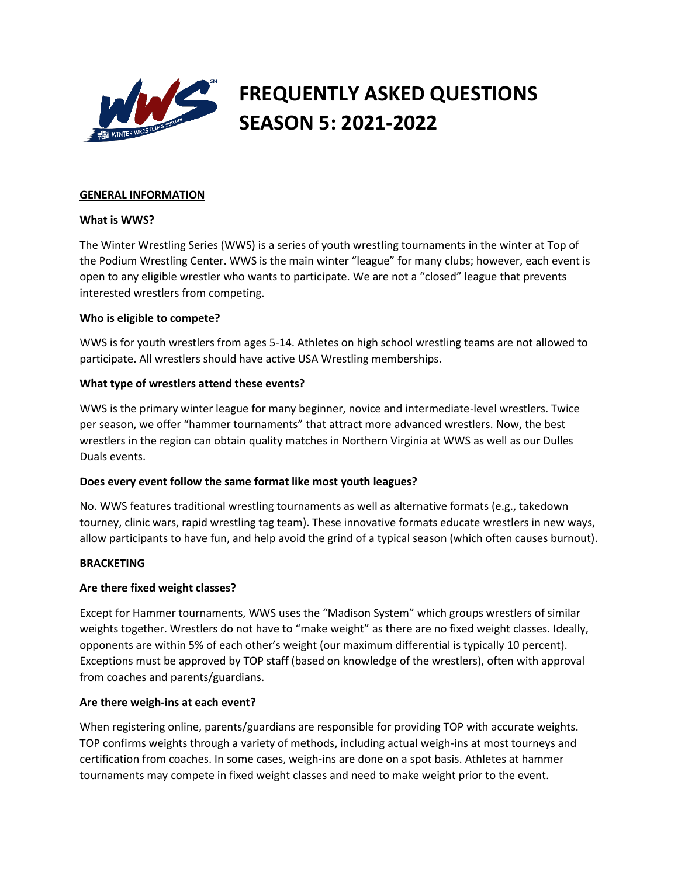

# **FREQUENTLY ASKED QUESTIONS SEASON 5: 2021-2022**

#### **GENERAL INFORMATION**

#### **What is WWS?**

The Winter Wrestling Series (WWS) is a series of youth wrestling tournaments in the winter at Top of the Podium Wrestling Center. WWS is the main winter "league" for many clubs; however, each event is open to any eligible wrestler who wants to participate. We are not a "closed" league that prevents interested wrestlers from competing.

#### **Who is eligible to compete?**

WWS is for youth wrestlers from ages 5-14. Athletes on high school wrestling teams are not allowed to participate. All wrestlers should have active USA Wrestling memberships.

## **What type of wrestlers attend these events?**

WWS is the primary winter league for many beginner, novice and intermediate-level wrestlers. Twice per season, we offer "hammer tournaments" that attract more advanced wrestlers. Now, the best wrestlers in the region can obtain quality matches in Northern Virginia at WWS as well as our Dulles Duals events.

## **Does every event follow the same format like most youth leagues?**

No. WWS features traditional wrestling tournaments as well as alternative formats (e.g., takedown tourney, clinic wars, rapid wrestling tag team). These innovative formats educate wrestlers in new ways, allow participants to have fun, and help avoid the grind of a typical season (which often causes burnout).

#### **BRACKETING**

#### **Are there fixed weight classes?**

Except for Hammer tournaments, WWS uses the "Madison System" which groups wrestlers of similar weights together. Wrestlers do not have to "make weight" as there are no fixed weight classes. Ideally, opponents are within 5% of each other's weight (our maximum differential is typically 10 percent). Exceptions must be approved by TOP staff (based on knowledge of the wrestlers), often with approval from coaches and parents/guardians.

#### **Are there weigh-ins at each event?**

When registering online, parents/guardians are responsible for providing TOP with accurate weights. TOP confirms weights through a variety of methods, including actual weigh-ins at most tourneys and certification from coaches. In some cases, weigh-ins are done on a spot basis. Athletes at hammer tournaments may compete in fixed weight classes and need to make weight prior to the event.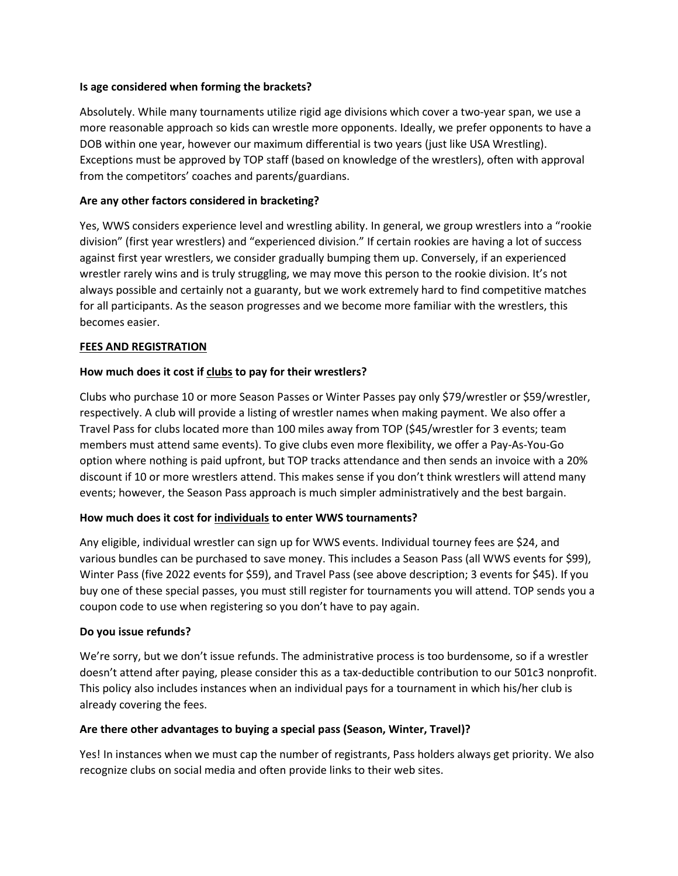## **Is age considered when forming the brackets?**

Absolutely. While many tournaments utilize rigid age divisions which cover a two-year span, we use a more reasonable approach so kids can wrestle more opponents. Ideally, we prefer opponents to have a DOB within one year, however our maximum differential is two years (just like USA Wrestling). Exceptions must be approved by TOP staff (based on knowledge of the wrestlers), often with approval from the competitors' coaches and parents/guardians.

## **Are any other factors considered in bracketing?**

Yes, WWS considers experience level and wrestling ability. In general, we group wrestlers into a "rookie division" (first year wrestlers) and "experienced division." If certain rookies are having a lot of success against first year wrestlers, we consider gradually bumping them up. Conversely, if an experienced wrestler rarely wins and is truly struggling, we may move this person to the rookie division. It's not always possible and certainly not a guaranty, but we work extremely hard to find competitive matches for all participants. As the season progresses and we become more familiar with the wrestlers, this becomes easier.

## **FEES AND REGISTRATION**

## **How much does it cost if clubs to pay for their wrestlers?**

Clubs who purchase 10 or more Season Passes or Winter Passes pay only \$79/wrestler or \$59/wrestler, respectively. A club will provide a listing of wrestler names when making payment. We also offer a Travel Pass for clubs located more than 100 miles away from TOP (\$45/wrestler for 3 events; team members must attend same events). To give clubs even more flexibility, we offer a Pay-As-You-Go option where nothing is paid upfront, but TOP tracks attendance and then sends an invoice with a 20% discount if 10 or more wrestlers attend. This makes sense if you don't think wrestlers will attend many events; however, the Season Pass approach is much simpler administratively and the best bargain.

## **How much does it cost for individuals to enter WWS tournaments?**

Any eligible, individual wrestler can sign up for WWS events. Individual tourney fees are \$24, and various bundles can be purchased to save money. This includes a Season Pass (all WWS events for \$99), Winter Pass (five 2022 events for \$59), and Travel Pass (see above description; 3 events for \$45). If you buy one of these special passes, you must still register for tournaments you will attend. TOP sends you a coupon code to use when registering so you don't have to pay again.

## **Do you issue refunds?**

We're sorry, but we don't issue refunds. The administrative process is too burdensome, so if a wrestler doesn't attend after paying, please consider this as a tax-deductible contribution to our 501c3 nonprofit. This policy also includes instances when an individual pays for a tournament in which his/her club is already covering the fees.

## **Are there other advantages to buying a special pass (Season, Winter, Travel)?**

Yes! In instances when we must cap the number of registrants, Pass holders always get priority. We also recognize clubs on social media and often provide links to their web sites.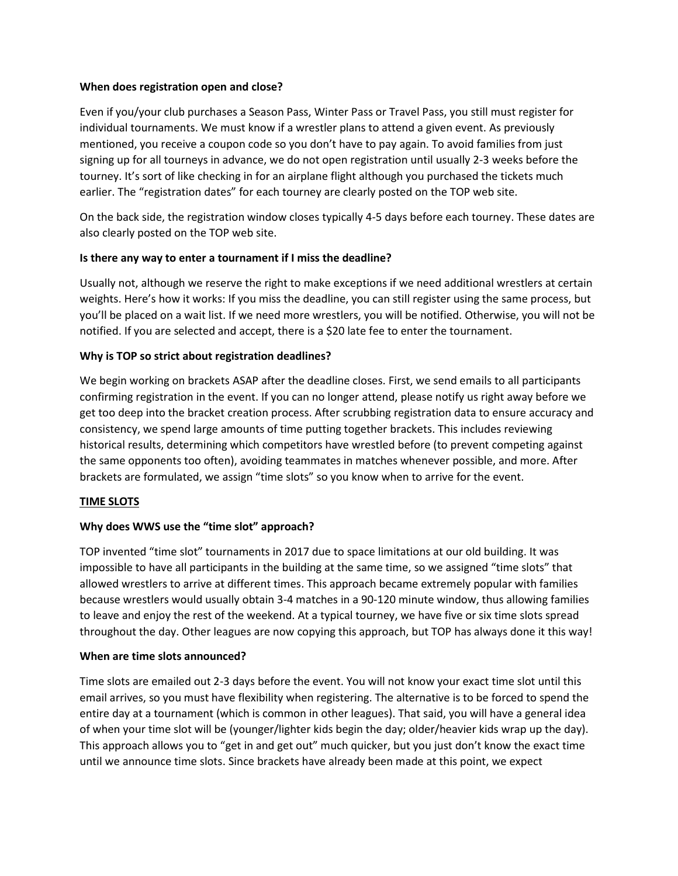#### **When does registration open and close?**

Even if you/your club purchases a Season Pass, Winter Pass or Travel Pass, you still must register for individual tournaments. We must know if a wrestler plans to attend a given event. As previously mentioned, you receive a coupon code so you don't have to pay again. To avoid families from just signing up for all tourneys in advance, we do not open registration until usually 2-3 weeks before the tourney. It's sort of like checking in for an airplane flight although you purchased the tickets much earlier. The "registration dates" for each tourney are clearly posted on the TOP web site.

On the back side, the registration window closes typically 4-5 days before each tourney. These dates are also clearly posted on the TOP web site.

## **Is there any way to enter a tournament if I miss the deadline?**

Usually not, although we reserve the right to make exceptions if we need additional wrestlers at certain weights. Here's how it works: If you miss the deadline, you can still register using the same process, but you'll be placed on a wait list. If we need more wrestlers, you will be notified. Otherwise, you will not be notified. If you are selected and accept, there is a \$20 late fee to enter the tournament.

## **Why is TOP so strict about registration deadlines?**

We begin working on brackets ASAP after the deadline closes. First, we send emails to all participants confirming registration in the event. If you can no longer attend, please notify us right away before we get too deep into the bracket creation process. After scrubbing registration data to ensure accuracy and consistency, we spend large amounts of time putting together brackets. This includes reviewing historical results, determining which competitors have wrestled before (to prevent competing against the same opponents too often), avoiding teammates in matches whenever possible, and more. After brackets are formulated, we assign "time slots" so you know when to arrive for the event.

## **TIME SLOTS**

# **Why does WWS use the "time slot" approach?**

TOP invented "time slot" tournaments in 2017 due to space limitations at our old building. It was impossible to have all participants in the building at the same time, so we assigned "time slots" that allowed wrestlers to arrive at different times. This approach became extremely popular with families because wrestlers would usually obtain 3-4 matches in a 90-120 minute window, thus allowing families to leave and enjoy the rest of the weekend. At a typical tourney, we have five or six time slots spread throughout the day. Other leagues are now copying this approach, but TOP has always done it this way!

## **When are time slots announced?**

Time slots are emailed out 2-3 days before the event. You will not know your exact time slot until this email arrives, so you must have flexibility when registering. The alternative is to be forced to spend the entire day at a tournament (which is common in other leagues). That said, you will have a general idea of when your time slot will be (younger/lighter kids begin the day; older/heavier kids wrap up the day). This approach allows you to "get in and get out" much quicker, but you just don't know the exact time until we announce time slots. Since brackets have already been made at this point, we expect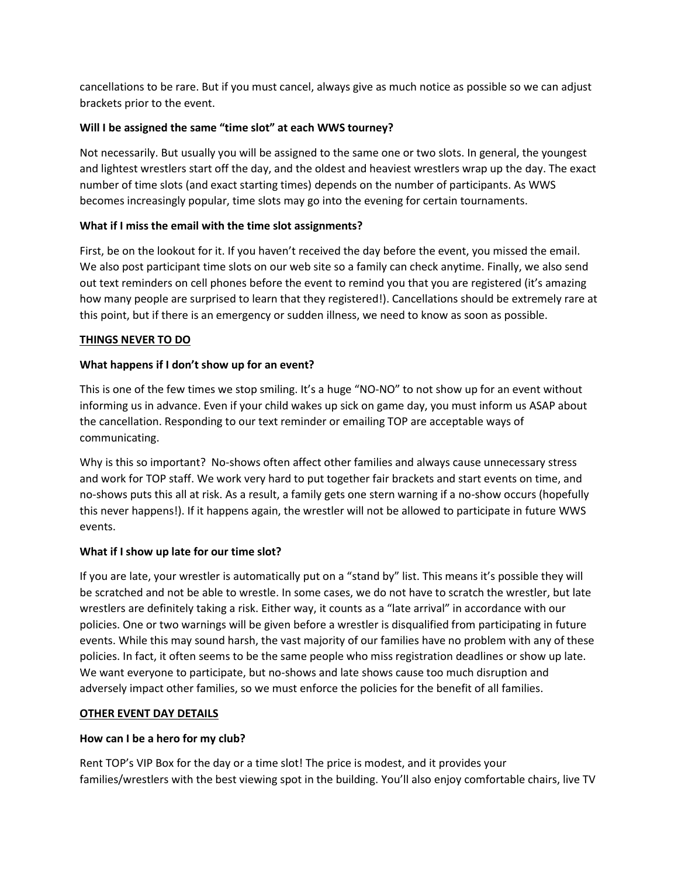cancellations to be rare. But if you must cancel, always give as much notice as possible so we can adjust brackets prior to the event.

# **Will I be assigned the same "time slot" at each WWS tourney?**

Not necessarily. But usually you will be assigned to the same one or two slots. In general, the youngest and lightest wrestlers start off the day, and the oldest and heaviest wrestlers wrap up the day. The exact number of time slots (and exact starting times) depends on the number of participants. As WWS becomes increasingly popular, time slots may go into the evening for certain tournaments.

## **What if I miss the email with the time slot assignments?**

First, be on the lookout for it. If you haven't received the day before the event, you missed the email. We also post participant time slots on our web site so a family can check anytime. Finally, we also send out text reminders on cell phones before the event to remind you that you are registered (it's amazing how many people are surprised to learn that they registered!). Cancellations should be extremely rare at this point, but if there is an emergency or sudden illness, we need to know as soon as possible.

## **THINGS NEVER TO DO**

## **What happens if I don't show up for an event?**

This is one of the few times we stop smiling. It's a huge "NO-NO" to not show up for an event without informing us in advance. Even if your child wakes up sick on game day, you must inform us ASAP about the cancellation. Responding to our text reminder or emailing TOP are acceptable ways of communicating.

Why is this so important? No-shows often affect other families and always cause unnecessary stress and work for TOP staff. We work very hard to put together fair brackets and start events on time, and no-shows puts this all at risk. As a result, a family gets one stern warning if a no-show occurs (hopefully this never happens!). If it happens again, the wrestler will not be allowed to participate in future WWS events.

## **What if I show up late for our time slot?**

If you are late, your wrestler is automatically put on a "stand by" list. This means it's possible they will be scratched and not be able to wrestle. In some cases, we do not have to scratch the wrestler, but late wrestlers are definitely taking a risk. Either way, it counts as a "late arrival" in accordance with our policies. One or two warnings will be given before a wrestler is disqualified from participating in future events. While this may sound harsh, the vast majority of our families have no problem with any of these policies. In fact, it often seems to be the same people who miss registration deadlines or show up late. We want everyone to participate, but no-shows and late shows cause too much disruption and adversely impact other families, so we must enforce the policies for the benefit of all families.

## **OTHER EVENT DAY DETAILS**

## **How can I be a hero for my club?**

Rent TOP's VIP Box for the day or a time slot! The price is modest, and it provides your families/wrestlers with the best viewing spot in the building. You'll also enjoy comfortable chairs, live TV